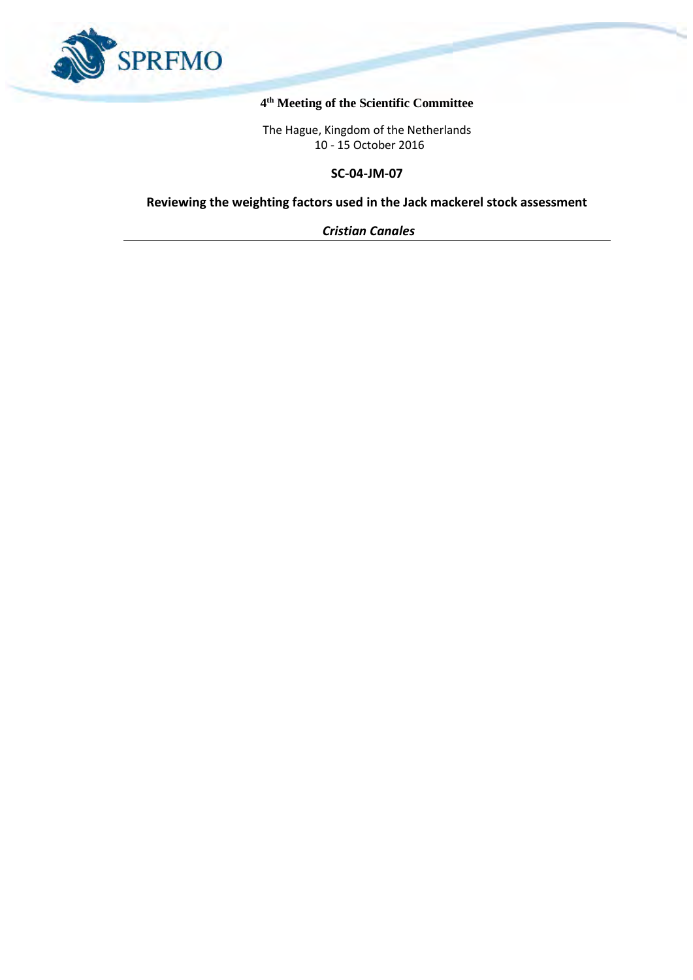

## **4 th Meeting of the Scientific Committee**

The Hague, Kingdom of the Netherlands 10 - 15 October 2016

**SC-04-JM-07**

**Reviewing the weighting factors used in the Jack mackerel stock assessment**

*Cristian Canales*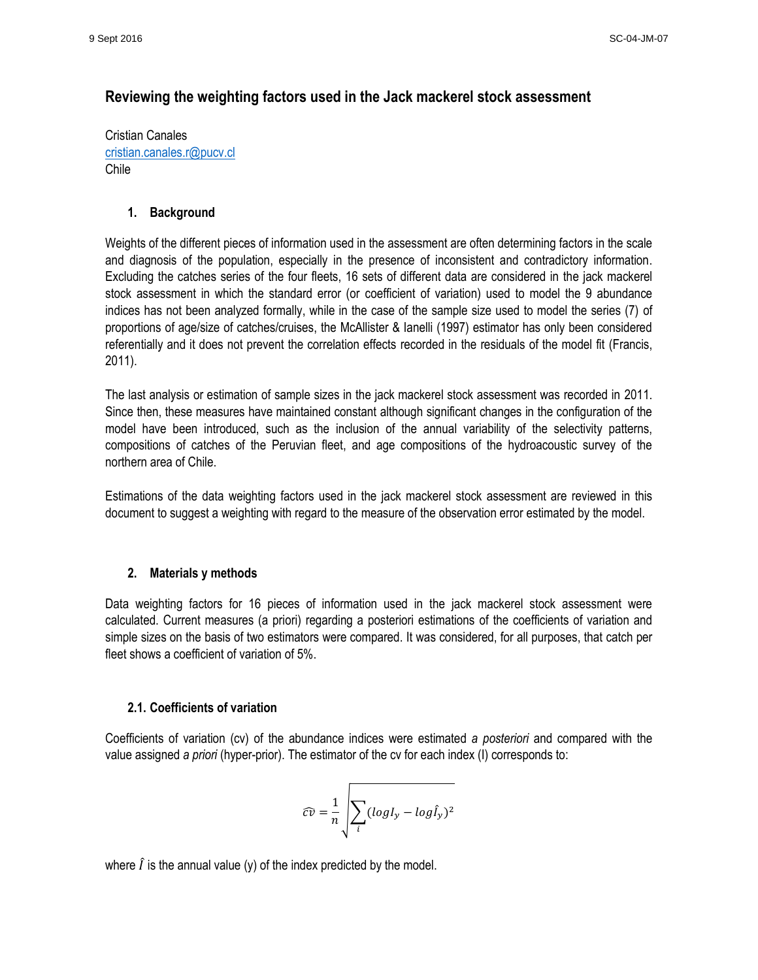# **Reviewing the weighting factors used in the Jack mackerel stock assessment**

Cristian Canales [cristian.canales.r@pucv.cl](mailto:cristian.canales.r@pucv.cl) Chile

## **1. Background**

Weights of the different pieces of information used in the assessment are often determining factors in the scale and diagnosis of the population, especially in the presence of inconsistent and contradictory information. Excluding the catches series of the four fleets, 16 sets of different data are considered in the jack mackerel stock assessment in which the standard error (or coefficient of variation) used to model the 9 abundance indices has not been analyzed formally, while in the case of the sample size used to model the series (7) of proportions of age/size of catches/cruises, the McAllister & Ianelli (1997) estimator has only been considered referentially and it does not prevent the correlation effects recorded in the residuals of the model fit (Francis, 2011).

The last analysis or estimation of sample sizes in the jack mackerel stock assessment was recorded in 2011. Since then, these measures have maintained constant although significant changes in the configuration of the model have been introduced, such as the inclusion of the annual variability of the selectivity patterns, compositions of catches of the Peruvian fleet, and age compositions of the hydroacoustic survey of the northern area of Chile.

Estimations of the data weighting factors used in the jack mackerel stock assessment are reviewed in this document to suggest a weighting with regard to the measure of the observation error estimated by the model.

#### **2. Materials y methods**

Data weighting factors for 16 pieces of information used in the jack mackerel stock assessment were calculated. Current measures (a priori) regarding a posteriori estimations of the coefficients of variation and simple sizes on the basis of two estimators were compared. It was considered, for all purposes, that catch per fleet shows a coefficient of variation of 5%.

#### **2.1. Coefficients of variation**

Coefficients of variation (cv) of the abundance indices were estimated *a posteriori* and compared with the value assigned *a priori* (hyper-prior). The estimator of the cv for each index (I) corresponds to:

$$
\widehat{cv} = \frac{1}{n} \sqrt{\sum_i (logI_y - log\hat{I}_y)^2}
$$

where  $\hat{I}$  is the annual value (y) of the index predicted by the model.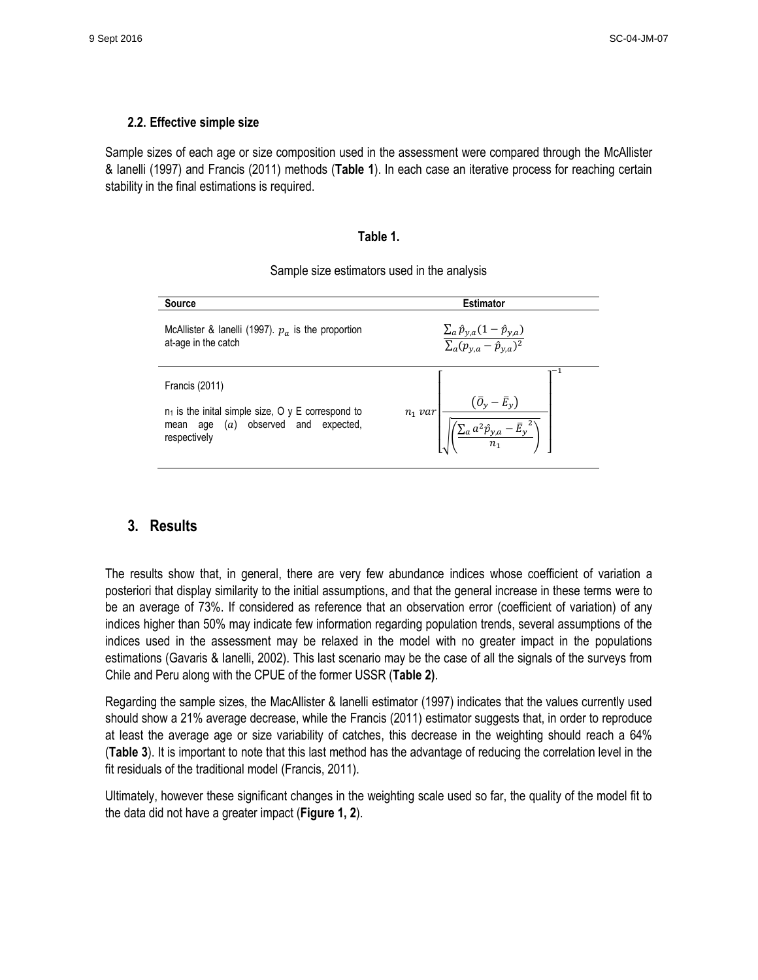## **2.2. Effective simple size**

Sample sizes of each age or size composition used in the assessment were compared through the McAllister & Ianelli (1997) and Francis (2011) methods (**Table 1**). In each case an iterative process for reaching certain stability in the final estimations is required.

#### **Table 1.**

| <b>Source</b>                                                                                                                                 | <b>Estimator</b>                                                                    |  |  |  |
|-----------------------------------------------------------------------------------------------------------------------------------------------|-------------------------------------------------------------------------------------|--|--|--|
| McAllister & lanelli (1997). $p_a$ is the proportion<br>at-age in the catch                                                                   | $\frac{\sum_a \hat{p}_{y,a}(1-\hat{p}_{y,a})}{\sum_a (p_{y,a}-\hat{p}_{y,a})^2}$    |  |  |  |
| <b>Francis (2011)</b><br>$n_1$ is the inital simple size, O y E correspond to<br>observed and<br>expected,<br>(a)<br>mean age<br>respectively | $\left(\bar{O}_y - \bar{E}_y\right)$<br>$n_1$ var<br>$\sum_{a} a^2 \hat{p}_{y,a}$ . |  |  |  |

Sample size estimators used in the analysis

# **3. Results**

The results show that, in general, there are very few abundance indices whose coefficient of variation a posteriori that display similarity to the initial assumptions, and that the general increase in these terms were to be an average of 73%. If considered as reference that an observation error (coefficient of variation) of any indices higher than 50% may indicate few information regarding population trends, several assumptions of the indices used in the assessment may be relaxed in the model with no greater impact in the populations estimations (Gavaris & Ianelli, 2002). This last scenario may be the case of all the signals of the surveys from Chile and Peru along with the CPUE of the former USSR (**Table 2)**.

Regarding the sample sizes, the MacAllister & Ianelli estimator (1997) indicates that the values currently used should show a 21% average decrease, while the Francis (2011) estimator suggests that, in order to reproduce at least the average age or size variability of catches, this decrease in the weighting should reach a 64% (**Table 3**). It is important to note that this last method has the advantage of reducing the correlation level in the fit residuals of the traditional model (Francis, 2011).

Ultimately, however these significant changes in the weighting scale used so far, the quality of the model fit to the data did not have a greater impact (**Figure 1, 2**).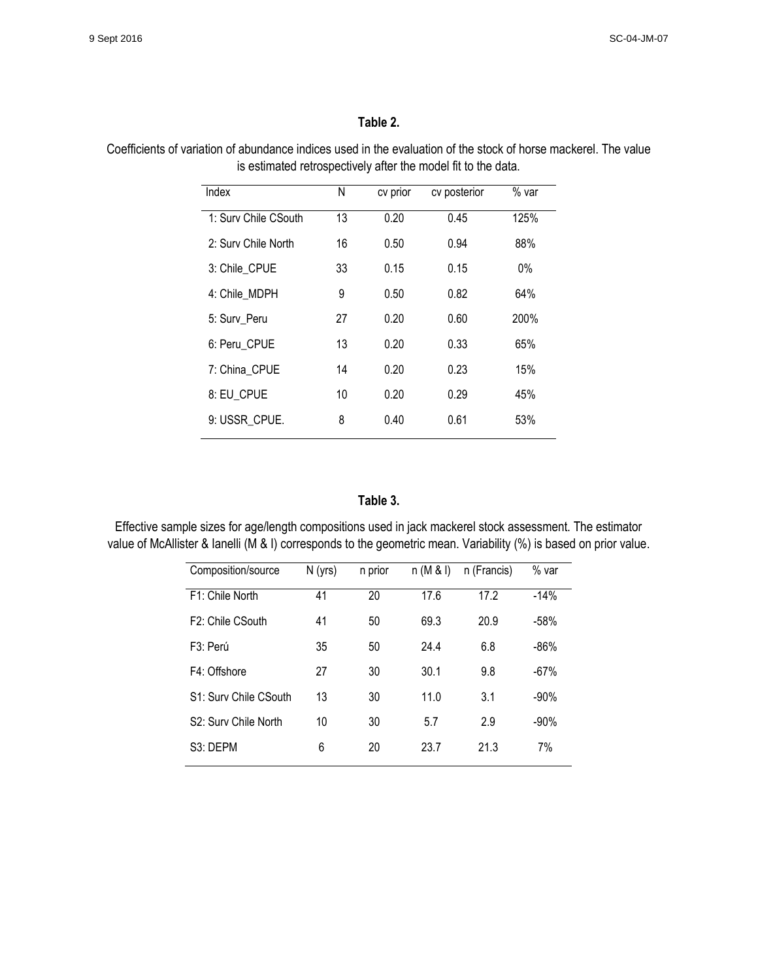## **Table 2.**

Coefficients of variation of abundance indices used in the evaluation of the stock of horse mackerel. The value is estimated retrospectively after the model fit to the data.

| Index                | Ν  | cv prior | cv posterior | $%$ var |
|----------------------|----|----------|--------------|---------|
| 1: Surv Chile CSouth | 13 | 0.20     | 0.45         | 125%    |
| 2: Surv Chile North  | 16 | 0.50     | 0.94         | 88%     |
| 3: Chile CPUE        | 33 | 0.15     | 0.15         | $0\%$   |
| 4: Chile MDPH        | 9  | 0.50     | 0.82         | 64%     |
| 5: Surv Peru         | 27 | 0.20     | 0.60         | 200%    |
| 6: Peru CPUE         | 13 | 0.20     | 0.33         | 65%     |
| 7: China CPUE        | 14 | 0.20     | 0.23         | 15%     |
| 8: EU_CPUE           | 10 | 0.20     | 0.29         | 45%     |
| 9: USSR CPUE.        | 8  | 0.40     | 0.61         | 53%     |
|                      |    |          |              |         |

## **Table 3.**

Effective sample sizes for age/length compositions used in jack mackerel stock assessment. The estimator value of McAllister & Ianelli (M & I) corresponds to the geometric mean. Variability (%) is based on prior value.

| Composition/source                | $N$ (yrs) | n prior | n(M & I) | n (Francis) | % var   |
|-----------------------------------|-----------|---------|----------|-------------|---------|
| F1: Chile North                   | 41        | 20      | 17.6     | 17.2        | $-14%$  |
| F <sub>2</sub> : Chile CSouth     | 41        | 50      | 69.3     | 20.9        | $-58%$  |
| F <sub>3</sub> : Perú             | 35        | 50      | 24.4     | 6.8         | $-86%$  |
| F4: Offshore                      | 27        | 30      | 30.1     | 9.8         | $-67%$  |
| S1: Surv Chile CSouth             | 13        | 30      | 11.0     | 3.1         | $-90%$  |
| S <sub>2</sub> : Surv Chile North | 10        | 30      | 5.7      | 2.9         | $-90\%$ |
| S <sub>3</sub> : DEPM             | 6         | 20      | 23.7     | 21.3        | 7%      |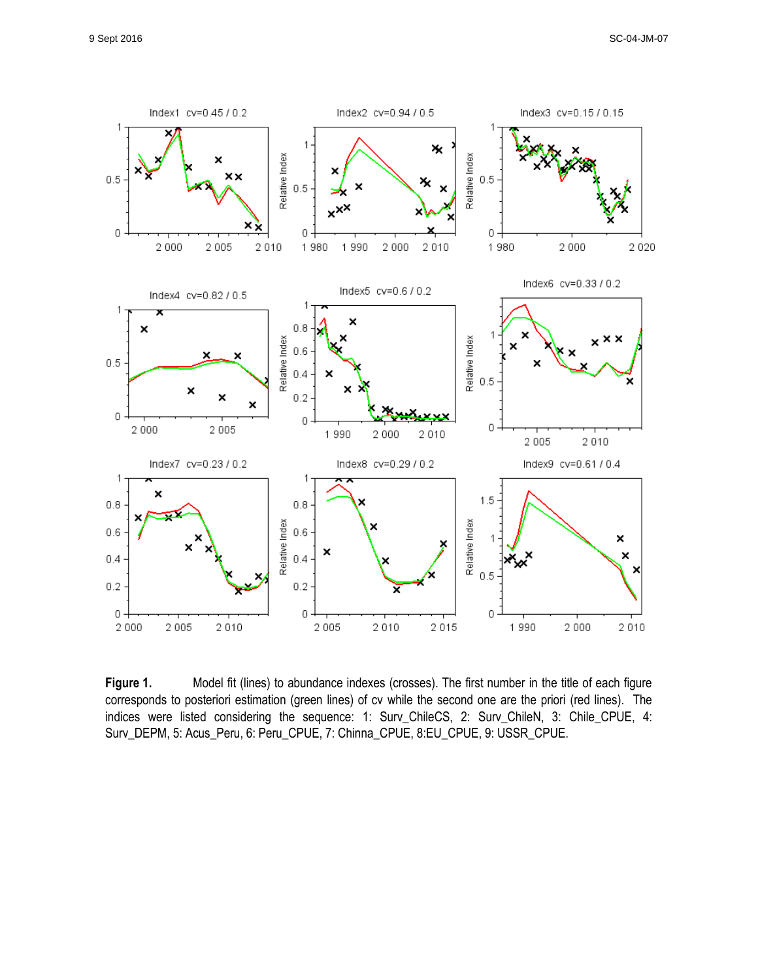

Figure 1. Model fit (lines) to abundance indexes (crosses). The first number in the title of each figure corresponds to posteriori estimation (green lines) of cv while the second one are the priori (red lines). The indices were listed considering the sequence: 1: Surv\_ChileCS, 2: Surv\_ChileN, 3: Chile\_CPUE, 4: Surv\_DEPM, 5: Acus\_Peru, 6: Peru\_CPUE, 7: Chinna\_CPUE, 8:EU\_CPUE, 9: USSR\_CPUE.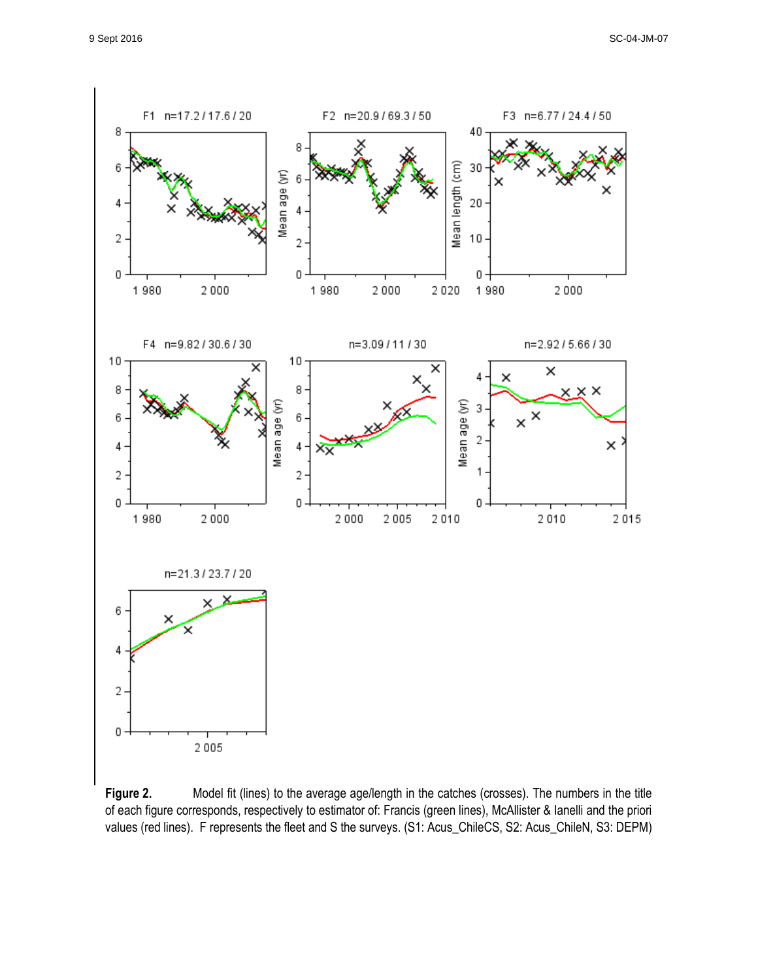

Figure 2. Model fit (lines) to the average age/length in the catches (crosses). The numbers in the title of each figure corresponds, respectively to estimator of: Francis (green lines), McAllister & Ianelli and the priori values (red lines). F represents the fleet and S the surveys. (S1: Acus\_ChileCS, S2: Acus\_ChileN, S3: DEPM)